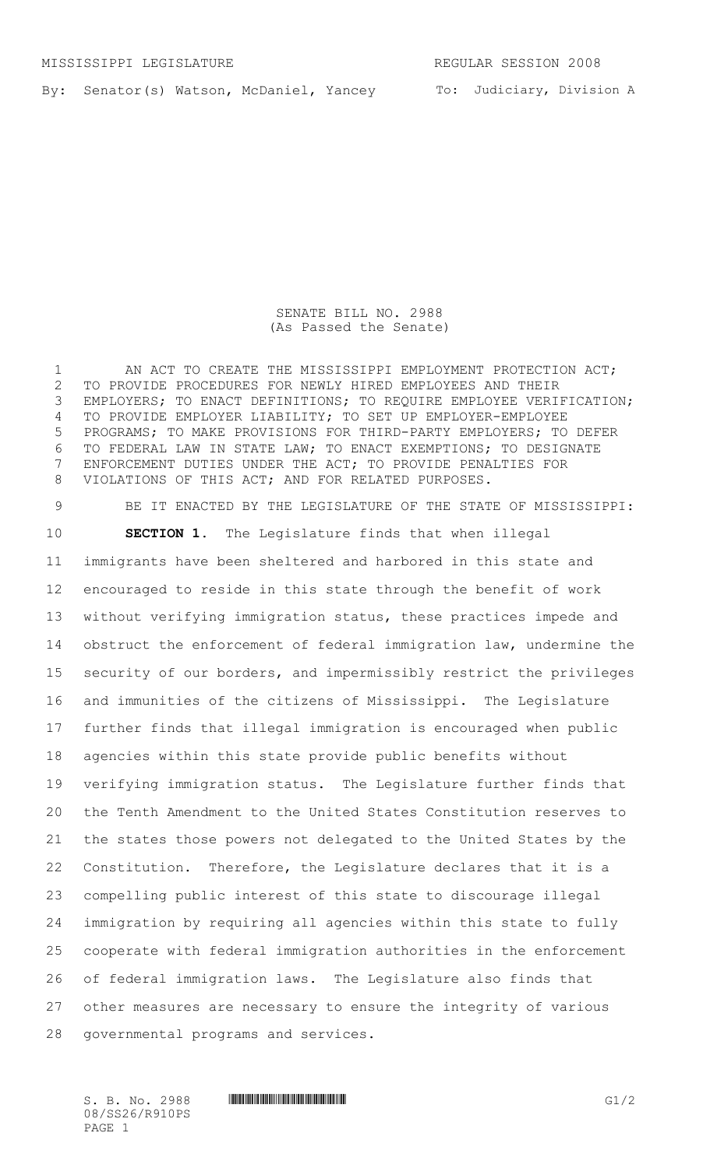By: Senator(s) Watson, McDaniel, Yancey

To: Judiciary, Division A

## SENATE BILL NO. 2988 (As Passed the Senate)

1 AN ACT TO CREATE THE MISSISSIPPI EMPLOYMENT PROTECTION ACT; TO PROVIDE PROCEDURES FOR NEWLY HIRED EMPLOYEES AND THEIR 3 EMPLOYERS; TO ENACT DEFINITIONS; TO REQUIRE EMPLOYEE VERIFICATION; TO PROVIDE EMPLOYER LIABILITY; TO SET UP EMPLOYER-EMPLOYEE PROGRAMS; TO MAKE PROVISIONS FOR THIRD-PARTY EMPLOYERS; TO DEFER TO FEDERAL LAW IN STATE LAW; TO ENACT EXEMPTIONS; TO DESIGNATE ENFORCEMENT DUTIES UNDER THE ACT; TO PROVIDE PENALTIES FOR VIOLATIONS OF THIS ACT; AND FOR RELATED PURPOSES.

 BE IT ENACTED BY THE LEGISLATURE OF THE STATE OF MISSISSIPPI: **SECTION 1.** The Legislature finds that when illegal immigrants have been sheltered and harbored in this state and encouraged to reside in this state through the benefit of work without verifying immigration status, these practices impede and obstruct the enforcement of federal immigration law, undermine the security of our borders, and impermissibly restrict the privileges and immunities of the citizens of Mississippi. The Legislature further finds that illegal immigration is encouraged when public agencies within this state provide public benefits without verifying immigration status. The Legislature further finds that the Tenth Amendment to the United States Constitution reserves to the states those powers not delegated to the United States by the Constitution. Therefore, the Legislature declares that it is a compelling public interest of this state to discourage illegal immigration by requiring all agencies within this state to fully cooperate with federal immigration authorities in the enforcement of federal immigration laws. The Legislature also finds that other measures are necessary to ensure the integrity of various governmental programs and services.

08/SS26/R910PS PAGE 1

 $S. B. No. 2988$  .  $\blacksquare$   $\blacksquare$   $\blacksquare$   $\blacksquare$   $\blacksquare$   $\blacksquare$   $\blacksquare$   $\blacksquare$   $\blacksquare$   $\blacksquare$   $\blacksquare$   $\blacksquare$   $\blacksquare$   $\blacksquare$   $\blacksquare$   $\blacksquare$   $\blacksquare$   $\blacksquare$   $\blacksquare$   $\blacksquare$   $\blacksquare$   $\blacksquare$   $\blacksquare$   $\blacksquare$   $\blacksquare$   $\blacksquare$   $\blacksquare$   $\blacksquare$   $\blacksquare$   $\$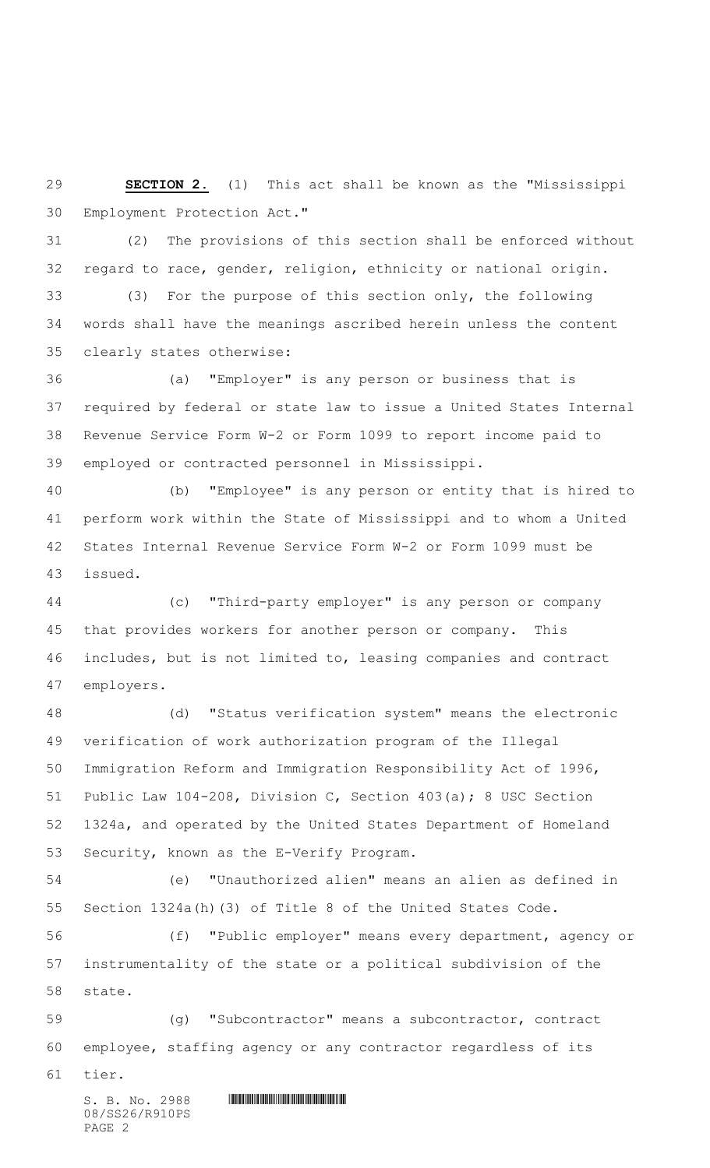**SECTION 2.** (1) This act shall be known as the "Mississippi Employment Protection Act."

 (2)The provisions of this section shall be enforced without regard to race, gender, religion, ethnicity or national origin.

 (3) For the purpose of this section only, the following words shall have the meanings ascribed herein unless the content clearly states otherwise:

 (a) "Employer" is any person or business that is required by federal or state law to issue a United States Internal Revenue Service Form W-2 or Form 1099 to report income paid to employed or contracted personnel in Mississippi.

 (b) "Employee" is any person or entity that is hired to perform work within the State of Mississippi and to whom a United States Internal Revenue Service Form W-2 or Form 1099 must be issued.

 (c) "Third-party employer" is any person or company that provides workers for another person or company. This includes, but is not limited to, leasing companies and contract employers.

 (d) "Status verification system" means the electronic verification of work authorization program of the Illegal Immigration Reform and Immigration Responsibility Act of 1996, Public Law 104-208, Division C, Section 403(a); 8 USC Section 1324a, and operated by the United States Department of Homeland Security, known as the E-Verify Program.

 (e) "Unauthorized alien" means an alien as defined in Section 1324a(h)(3) of Title 8 of the United States Code.

 (f) "Public employer" means every department, agency or instrumentality of the state or a political subdivision of the state.

 (g) "Subcontractor" means a subcontractor, contract employee, staffing agency or any contractor regardless of its

tier.

 $S. B. No. 2988$  . The set of the set of the set of  $S. B. No. 2988$ 08/SS26/R910PS PAGE 2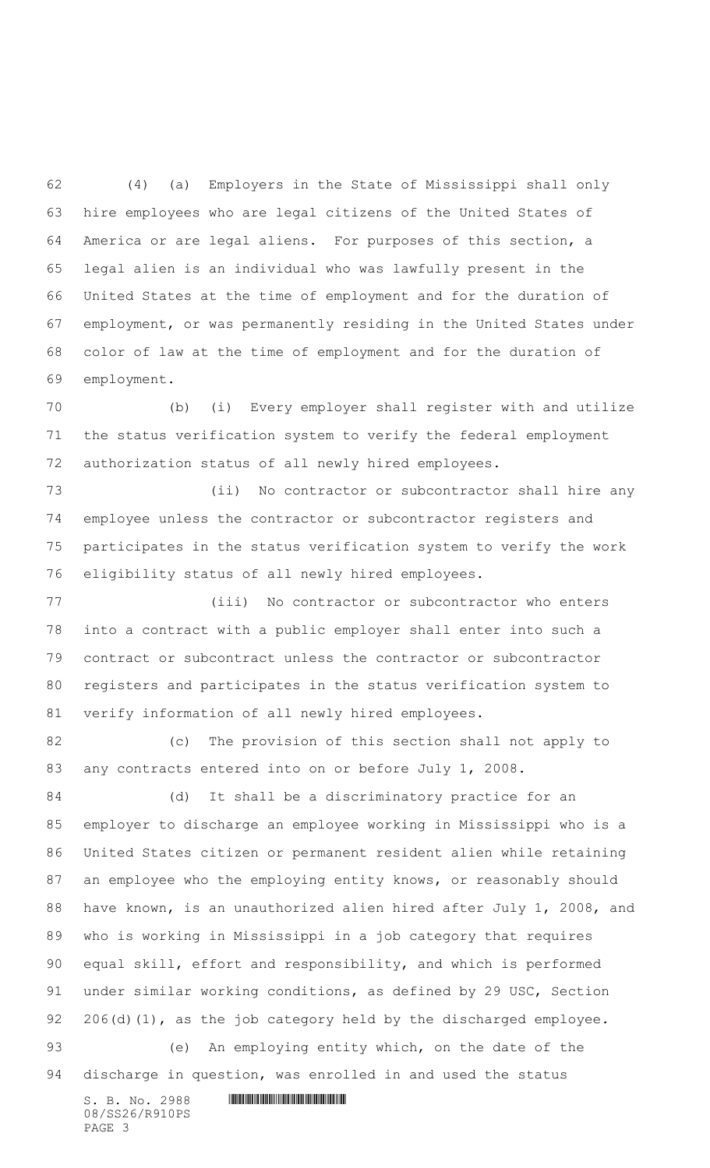(4) (a) Employers in the State of Mississippi shall only hire employees who are legal citizens of the United States of America or are legal aliens. For purposes of this section, a legal alien is an individual who was lawfully present in the United States at the time of employment and for the duration of employment, or was permanently residing in the United States under color of law at the time of employment and for the duration of employment.

 (b) (i) Every employer shall register with and utilize the status verification system to verify the federal employment authorization status of all newly hired employees.

 (ii) No contractor or subcontractor shall hire any employee unless the contractor or subcontractor registers and participates in the status verification system to verify the work eligibility status of all newly hired employees.

 (iii) No contractor or subcontractor who enters into a contract with a public employer shall enter into such a contract or subcontract unless the contractor or subcontractor registers and participates in the status verification system to verify information of all newly hired employees.

 (c) The provision of this section shall not apply to 83 any contracts entered into on or before July 1, 2008.

 (d) It shall be a discriminatory practice for an employer to discharge an employee working in Mississippi who is a United States citizen or permanent resident alien while retaining an employee who the employing entity knows, or reasonably should have known, is an unauthorized alien hired after July 1, 2008, and who is working in Mississippi in a job category that requires equal skill, effort and responsibility, and which is performed under similar working conditions, as defined by 29 USC, Section 92 206(d)(1), as the job category held by the discharged employee. (e) An employing entity which, on the date of the discharge in question, was enrolled in and used the status

 $S.$  B. No. 2988 **INSTERNAL PROPERTY SET AND ALL PROPERTY** 08/SS26/R910PS PAGE 3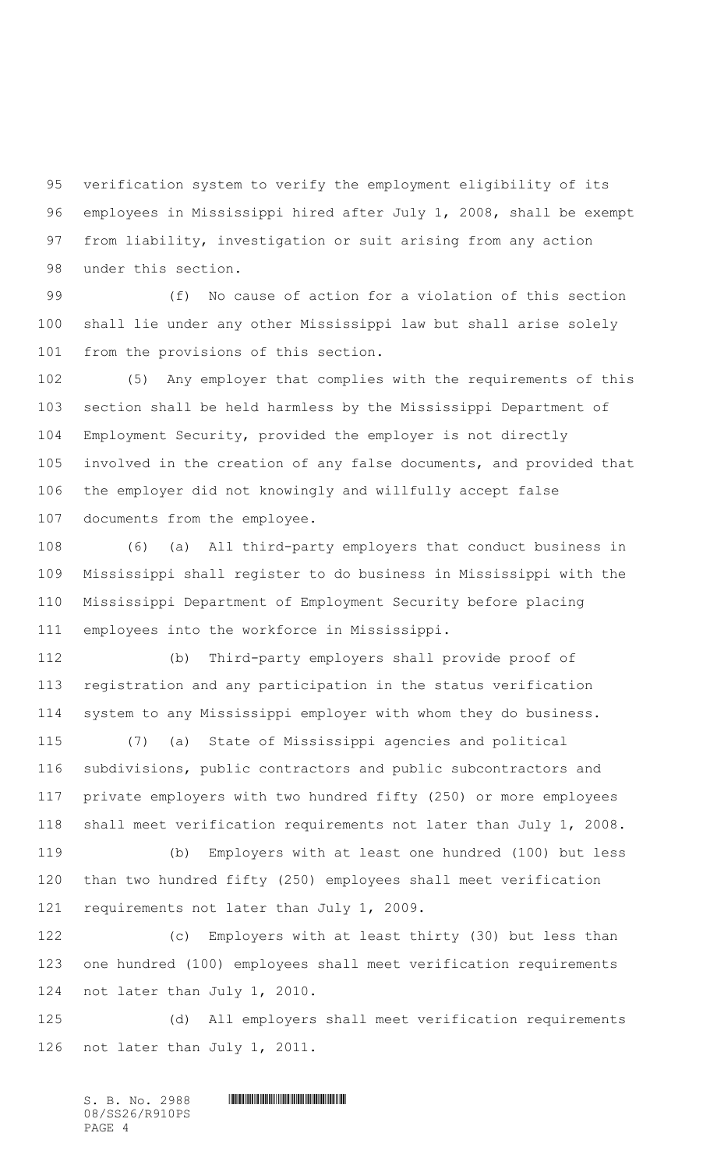verification system to verify the employment eligibility of its employees in Mississippi hired after July 1, 2008, shall be exempt from liability, investigation or suit arising from any action under this section.

 (f) No cause of action for a violation of this section shall lie under any other Mississippi law but shall arise solely from the provisions of this section.

 (5) Any employer that complies with the requirements of this section shall be held harmless by the Mississippi Department of Employment Security, provided the employer is not directly involved in the creation of any false documents, and provided that the employer did not knowingly and willfully accept false documents from the employee.

 (6) (a) All third-party employers that conduct business in Mississippi shall register to do business in Mississippi with the Mississippi Department of Employment Security before placing employees into the workforce in Mississippi.

 (b) Third-party employers shall provide proof of registration and any participation in the status verification system to any Mississippi employer with whom they do business.

 (7) (a) State of Mississippi agencies and political subdivisions, public contractors and public subcontractors and private employers with two hundred fifty (250) or more employees shall meet verification requirements not later than July 1, 2008.

 (b) Employers with at least one hundred (100) but less than two hundred fifty (250) employees shall meet verification requirements not later than July 1, 2009.

 (c) Employers with at least thirty (30) but less than one hundred (100) employees shall meet verification requirements not later than July 1, 2010.

 (d) All employers shall meet verification requirements not later than July 1, 2011.

 $S. B. No. 2988$  . Section  $S. B. No. 2988$ 08/SS26/R910PS PAGE 4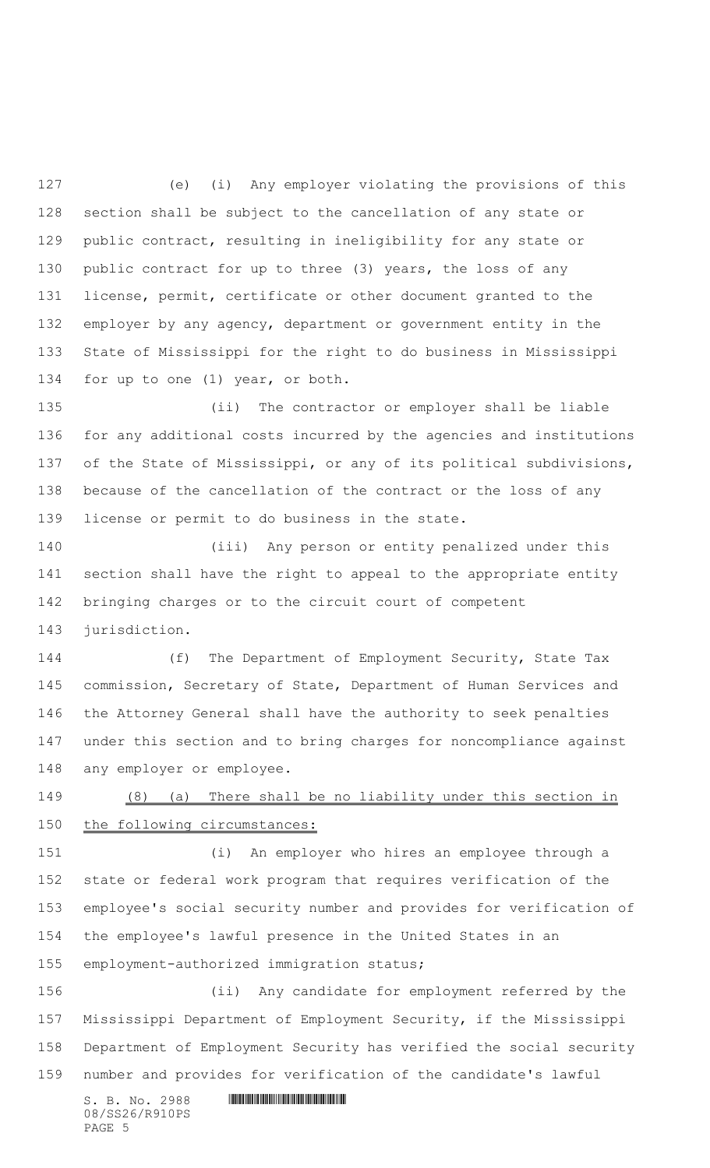(e) (i) Any employer violating the provisions of this section shall be subject to the cancellation of any state or public contract, resulting in ineligibility for any state or public contract for up to three (3) years, the loss of any license, permit, certificate or other document granted to the employer by any agency, department or government entity in the State of Mississippi for the right to do business in Mississippi for up to one (1) year, or both.

 (ii) The contractor or employer shall be liable for any additional costs incurred by the agencies and institutions of the State of Mississippi, or any of its political subdivisions, because of the cancellation of the contract or the loss of any license or permit to do business in the state.

 (iii) Any person or entity penalized under this section shall have the right to appeal to the appropriate entity bringing charges or to the circuit court of competent jurisdiction.

 (f) The Department of Employment Security, State Tax commission, Secretary of State, Department of Human Services and the Attorney General shall have the authority to seek penalties under this section and to bring charges for noncompliance against any employer or employee.

 (8) (a) There shall be no liability under this section in 150 the following circumstances:

 (i) An employer who hires an employee through a state or federal work program that requires verification of the employee's social security number and provides for verification of the employee's lawful presence in the United States in an employment-authorized immigration status;

 (ii) Any candidate for employment referred by the Mississippi Department of Employment Security, if the Mississippi Department of Employment Security has verified the social security number and provides for verification of the candidate's lawful

08/SS26/R910PS PAGE 5

 $S. B. No. 2988$  . The set of the set of the set of  $S. B. No. 2988$